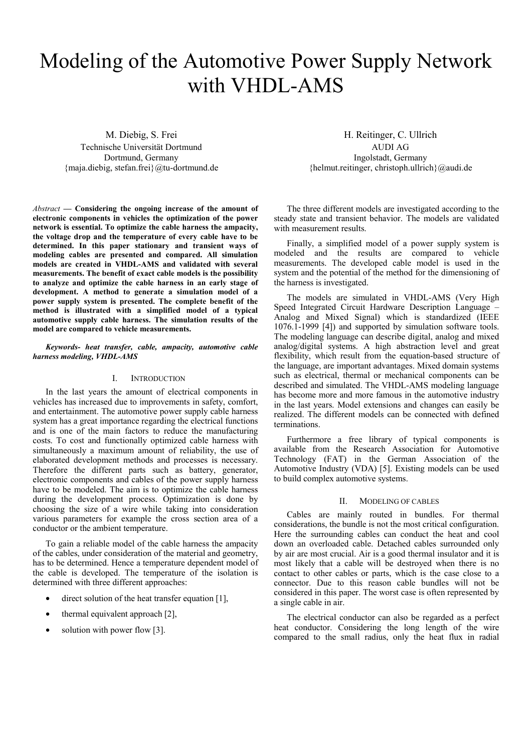# Modeling of the Automotive Power Supply Network with VHDL-AMS

M. Diebig, S. Frei Technische Universität Dortmund Dortmund, Germany {maja.diebig, stefan.frei}@tu-dortmund.de

*Abstract* **— Considering the ongoing increase of the amount of electronic components in vehicles the optimization of the power network is essential. To optimize the cable harness the ampacity, the voltage drop and the temperature of every cable have to be determined. In this paper stationary and transient ways of modeling cables are presented and compared. All simulation models are created in VHDL-AMS and validated with several measurements. The benefit of exact cable models is the possibility to analyze and optimize the cable harness in an early stage of development. A method to generate a simulation model of a power supply system is presented. The complete benefit of the method is illustrated with a simplified model of a typical automotive supply cable harness. The simulation results of the model are compared to vehicle measurements.** 

# *Keywords- heat transfer, cable, ampacity, automotive cable harness modeling, VHDL-AMS*

# I. INTRODUCTION

In the last years the amount of electrical components in vehicles has increased due to improvements in safety, comfort, and entertainment. The automotive power supply cable harness system has a great importance regarding the electrical functions and is one of the main factors to reduce the manufacturing costs. To cost and functionally optimized cable harness with simultaneously a maximum amount of reliability, the use of elaborated development methods and processes is necessary. Therefore the different parts such as battery, generator, electronic components and cables of the power supply harness have to be modeled. The aim is to optimize the cable harness during the development process. Optimization is done by choosing the size of a wire while taking into consideration various parameters for example the cross section area of a conductor or the ambient temperature.

To gain a reliable model of the cable harness the ampacity of the cables, under consideration of the material and geometry, has to be determined. Hence a temperature dependent model of the cable is developed. The temperature of the isolation is determined with three different approaches:

- direct solution of the heat transfer equation  $[1]$ ,
- thermal equivalent approach [2],
- solution with power flow [3].

H. Reitinger, C. Ullrich AUDI AG

Ingolstadt, Germany {helmut.reitinger, christoph.ullrich}@audi.de

The three different models are investigated according to the steady state and transient behavior. The models are validated with measurement results.

Finally, a simplified model of a power supply system is modeled and the results are compared to vehicle measurements. The developed cable model is used in the system and the potential of the method for the dimensioning of the harness is investigated.

The models are simulated in VHDL-AMS (Very High Speed Integrated Circuit Hardware Description Language – Analog and Mixed Signal) which is standardized (IEEE 1076.1-1999 [4]) and supported by simulation software tools. The modeling language can describe digital, analog and mixed analog/digital systems. A high abstraction level and great flexibility, which result from the equation-based structure of the language, are important advantages. Mixed domain systems such as electrical, thermal or mechanical components can be described and simulated. The VHDL-AMS modeling language has become more and more famous in the automotive industry in the last years. Model extensions and changes can easily be realized. The different models can be connected with defined terminations.

Furthermore a free library of typical components is available from the Research Association for Automotive Technology (FAT) in the German Association of the Automotive Industry (VDA) [5]. Existing models can be used to build complex automotive systems.

#### II. MODELING OF CABLES

Cables are mainly routed in bundles. For thermal considerations, the bundle is not the most critical configuration. Here the surrounding cables can conduct the heat and cool down an overloaded cable. Detached cables surrounded only by air are most crucial. Air is a good thermal insulator and it is most likely that a cable will be destroyed when there is no contact to other cables or parts, which is the case close to a connector. Due to this reason cable bundles will not be considered in this paper. The worst case is often represented by a single cable in air.

The electrical conductor can also be regarded as a perfect heat conductor. Considering the long length of the wire compared to the small radius, only the heat flux in radial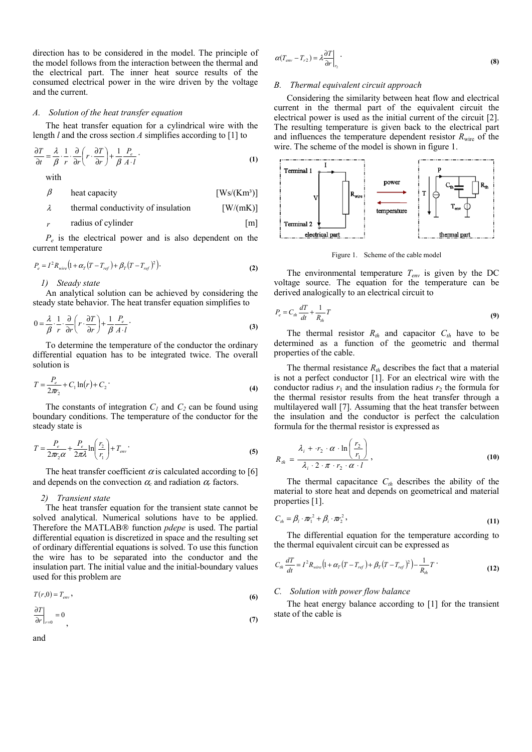direction has to be considered in the model. The principle of the model follows from the interaction between the thermal and the electrical part. The inner heat source results of the consumed electrical power in the wire driven by the voltage and the current.

# *A. Solution of the heat transfer equation*

The heat transfer equation for a cylindrical wire with the length *l* and the cross section *A* simplifies according to [1] to

$$
\frac{\partial T}{\partial t} = \frac{\lambda}{\beta} \cdot \frac{1}{r} \cdot \frac{\partial}{\partial r} \left( r \cdot \frac{\partial T}{\partial r} \right) + \frac{1}{\beta} \frac{P_e}{A \cdot l} \tag{1}
$$

with

$$
\beta \qquad \text{heat capacity} \qquad \qquad [Ws/(Km^3)]
$$

$$
\lambda
$$
 thermal conductivity of insulation [W/(mK)]

*r* radius of cylinder [m]

*Pe* is the electrical power and is also dependent on the current temperature

$$
P_e = I^2 R_{wire} \left( 1 + \alpha_T (T - T_{ref}) + \beta_T (T - T_{ref})^2 \right).
$$
 (2)

*1) Steady state* 

An analytical solution can be achieved by considering the steady state behavior. The heat transfer equation simplifies to

$$
0 = \frac{\lambda}{\beta} \cdot \frac{1}{r} \cdot \frac{\partial}{\partial r} \left( r \cdot \frac{\partial T}{\partial r} \right) + \frac{1}{\beta} \frac{P_e}{A \cdot l} \tag{3}
$$

To determine the temperature of the conductor the ordinary differential equation has to be integrated twice. The overall solution is

$$
T = \frac{P_e}{2\pi r_2} + C_1 \ln(r) + C_2
$$
 (4)

The constants of integration  $C_1$  and  $C_2$  can be found using boundary conditions. The temperature of the conductor for the steady state is

$$
T = \frac{P_e}{2\pi r_2 \alpha} + \frac{P_e}{2\pi \lambda} \ln\left(\frac{r_2}{r_1}\right) + T_{env} \tag{5}
$$

The heat transfer coefficient  $\alpha$  is calculated according to [6] and depends on the convection  $\alpha_c$  and radiation  $\alpha_r$  factors.

#### *2) Transient state*

The heat transfer equation for the transient state cannot be solved analytical. Numerical solutions have to be applied. Therefore the MATLAB® function *pdepe* is used. The partial differential equation is discretized in space and the resulting set of ordinary differential equations is solved. To use this function the wire has to be separated into the conductor and the insulation part. The initial value and the initial-boundary values used for this problem are

$$
T(r,0) = T_{env},\tag{6}
$$

$$
\left. \frac{\partial T}{\partial r} \right|_{r=0} = 0 \tag{7}
$$

and

$$
\alpha(T_{env} - T_{r2}) = \lambda \frac{\partial T}{\partial r}\bigg|_{r_2}.
$$
\n(8)

# *B. Thermal equivalent circuit approach*

Considering the similarity between heat flow and electrical current in the thermal part of the equivalent circuit the electrical power is used as the initial current of the circuit [2]. The resulting temperature is given back to the electrical part and influences the temperature dependent resistor  $R_{\text{wire}}$  of the wire. The scheme of the model is shown in figure 1.



Figure 1. Scheme of the cable model

The environmental temperature *Tenv* is given by the DC voltage source. The equation for the temperature can be derived analogically to an electrical circuit to

$$
P_e = C_{th} \frac{dT}{dt} + \frac{1}{R_{th}} T
$$
\n(9)

The thermal resistor  $R_{th}$  and capacitor  $C_{th}$  have to be determined as a function of the geometric and thermal properties of the cable.

The thermal resistance  $R<sub>th</sub>$  describes the fact that a material is not a perfect conductor [1]. For an electrical wire with the conductor radius  $r_1$  and the insulation radius  $r_2$  the formula for the thermal resistor results from the heat transfer through a multilayered wall [7]. Assuming that the heat transfer between the insulation and the conductor is perfect the calculation formula for the thermal resistor is expressed as

$$
R_{th} = \frac{\lambda_i + r_2 \cdot \alpha \cdot \ln\left(\frac{r_2}{r_1}\right)}{\lambda_i \cdot 2 \cdot \pi \cdot r_2 \cdot \alpha \cdot l}, \qquad (10)
$$

The thermal capacitance  $C_{th}$  describes the ability of the material to store heat and depends on geometrical and material properties [1].

$$
C_{th} = \beta_l \cdot \pi_1^2 + \beta_i \cdot \pi_2^2, \qquad (11)
$$

The differential equation for the temperature according to the thermal equivalent circuit can be expressed as

$$
C_{th} \frac{dT}{dt} = I^2 R_{wire} \left( 1 + \alpha_T (T - T_{ref}) + \beta_T (T - T_{ref})^2 \right) - \frac{1}{R_{th}} T \tag{12}
$$

#### *C. Solution with power flow balance*

The heat energy balance according to [1] for the transient state of the cable is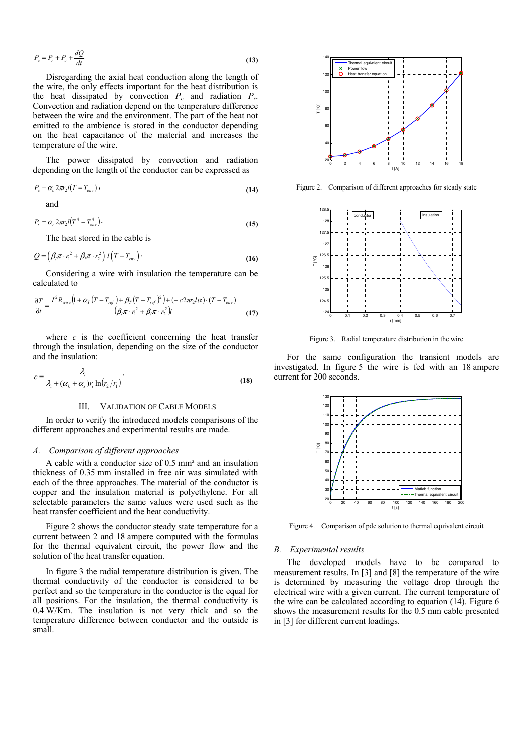$$
P_e = P_r + P_c + \frac{dQ}{dt} \tag{13}
$$

Disregarding the axial heat conduction along the length of the wire, the only effects important for the heat distribution is the heat dissipated by convection  $P_c$  and radiation  $P_r$ . Convection and radiation depend on the temperature difference between the wire and the environment. The part of the heat not emitted to the ambience is stored in the conductor depending on the heat capacitance of the material and increases the temperature of the wire.

The power dissipated by convection and radiation depending on the length of the conductor can be expressed as

$$
P_c = \alpha_c 2\pi_2 l (T - T_{\text{env}}),
$$
\n(14)

and

$$
P_r = \alpha_r 2\pi r_2 l (T^4 - T_{env}^4).
$$
 (15)

The heat stored in the cable is

$$
Q = \left(\beta_1 \pi \cdot r_1^2 + \beta_1 \pi \cdot r_2^2\right) l \left(T - T_{\text{env}}\right).
$$
 (16)

Considering a wire with insulation the temperature can be calculated to

$$
\frac{\partial T}{\partial t} = \frac{I^2 R_{wire} \left(1 + \alpha_T \left(T - T_{ref}\right) + \beta_T \left(T - T_{ref}\right)^2\right) + \left(-c2\pi r_2 l \alpha\right) \cdot \left(T - T_{env}\right)}{\left(\beta_l \pi \cdot r_1^2 + \beta_l \pi \cdot r_2^2\right) l}
$$
(17)

where  $c$  is the coefficient concerning the heat transfer through the insulation, depending on the size of the conductor and the insulation:

$$
c = \frac{\lambda_i}{\lambda_i + (\alpha_k + \alpha_s)r_i \ln(r_2/r_1)}.
$$
\n(18)

#### III. VALIDATION OF CABLE MODELS

In order to verify the introduced models comparisons of the different approaches and experimental results are made.

#### *A. Comparison of different approaches*

A cable with a conductor size of 0.5 mm² and an insulation thickness of 0.35 mm installed in free air was simulated with each of the three approaches. The material of the conductor is copper and the insulation material is polyethylene. For all selectable parameters the same values were used such as the heat transfer coefficient and the heat conductivity.

Figure 2 shows the conductor steady state temperature for a current between 2 and 18 ampere computed with the formulas for the thermal equivalent circuit, the power flow and the solution of the heat transfer equation.

In figure 3 the radial temperature distribution is given. The thermal conductivity of the conductor is considered to be perfect and so the temperature in the conductor is the equal for all positions. For the insulation, the thermal conductivity is 0.4 W/Km. The insulation is not very thick and so the temperature difference between conductor and the outside is small.



Figure 2. Comparison of different approaches for steady state



Figure 3. Radial temperature distribution in the wire

For the same configuration the transient models are investigated. In figure 5 the wire is fed with an 18 ampere current for 200 seconds.



Figure 4. Comparison of pde solution to thermal equivalent circuit

#### *B. Experimental results*

The developed models have to be compared to measurement results. In [3] and [8] the temperature of the wire is determined by measuring the voltage drop through the electrical wire with a given current. The current temperature of the wire can be calculated according to equation (14). Figure 6 shows the measurement results for the 0.5 mm cable presented in [3] for different current loadings.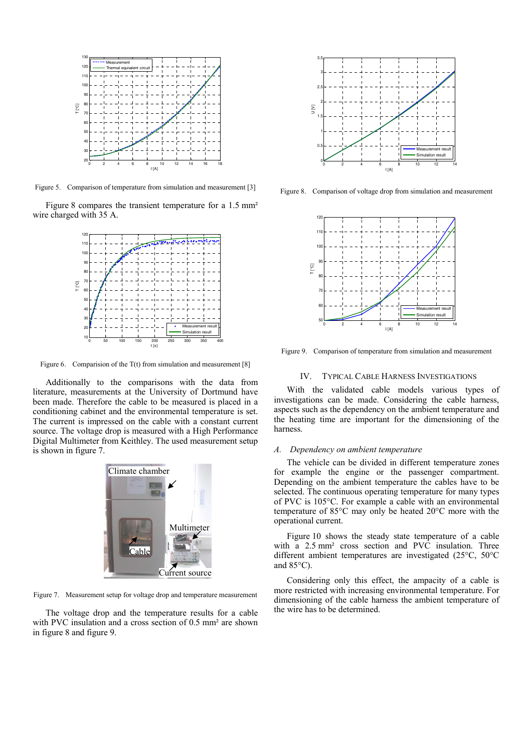

Figure 5. Comparison of temperature from simulation and measurement [3]

Figure 8 compares the transient temperature for a 1.5 mm<sup>2</sup> wire charged with 35 A.



Figure 6. Comparision of the T(t) from simulation and measurement [8]

Additionally to the comparisons with the data from literature, measurements at the University of Dortmund have been made. Therefore the cable to be measured is placed in a conditioning cabinet and the environmental temperature is set. The current is impressed on the cable with a constant current source. The voltage drop is measured with a High Performance Digital Multimeter from Keithley. The used measurement setup is shown in figure 7.



Figure 7. Measurement setup for voltage drop and temperature measurement

The voltage drop and the temperature results for a cable with PVC insulation and a cross section of 0.5 mm² are shown in figure 8 and figure 9.



Figure 8. Comparison of voltage drop from simulation and measurement



Figure 9. Comparison of temperature from simulation and measurement

# IV. TYPICAL CABLE HARNESS INVESTIGATIONS

With the validated cable models various types of investigations can be made. Considering the cable harness, aspects such as the dependency on the ambient temperature and the heating time are important for the dimensioning of the harness.

#### *A. Dependency on ambient temperature*

The vehicle can be divided in different temperature zones for example the engine or the passenger compartment. Depending on the ambient temperature the cables have to be selected. The continuous operating temperature for many types of PVC is 105°C. For example a cable with an environmental temperature of 85°C may only be heated 20°C more with the operational current.

Figure 10 shows the steady state temperature of a cable with a 2.5 mm<sup>2</sup> cross section and PVC insulation. Three different ambient temperatures are investigated (25°C, 50°C and  $85^{\circ}$ C).

Considering only this effect, the ampacity of a cable is more restricted with increasing environmental temperature. For dimensioning of the cable harness the ambient temperature of the wire has to be determined.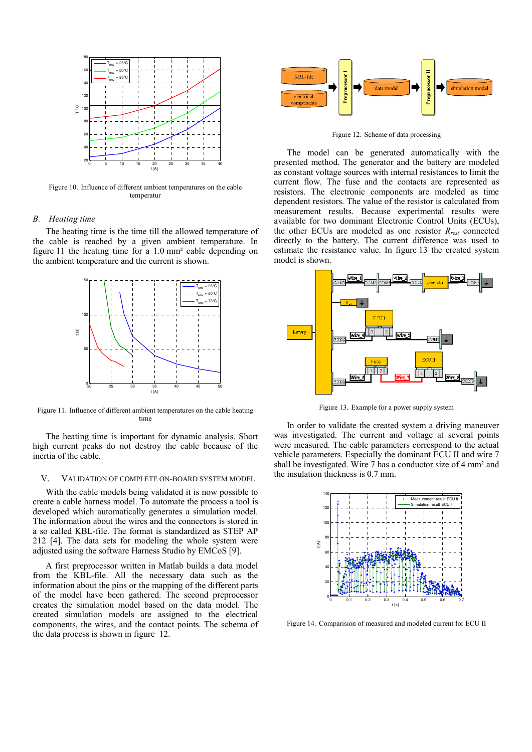

Figure 10. Influence of different ambient temperatures on the cable temperatur

## *B. Heating time*

The heating time is the time till the allowed temperature of the cable is reached by a given ambient temperature. In figure 11 the heating time for a 1.0 mm² cable depending on the ambient temperature and the current is shown.



Figure 11. Influence of different ambient temperatures on the cable heating time

The heating time is important for dynamic analysis. Short high current peaks do not destroy the cable because of the inertia of the cable.

# V. VALIDATION OF COMPLETE ON-BOARD SYSTEM MODEL

With the cable models being validated it is now possible to create a cable harness model. To automate the process a tool is developed which automatically generates a simulation model. The information about the wires and the connectors is stored in a so called KBL-file. The format is standardized as STEP AP 212 [4]. The data sets for modeling the whole system were adjusted using the software Harness Studio by EMCoS [9].

A first preprocessor written in Matlab builds a data model from the KBL-file. All the necessary data such as the information about the pins or the mapping of the different parts of the model have been gathered. The second preprocessor creates the simulation model based on the data model. The created simulation models are assigned to the electrical components, the wires, and the contact points. The schema of the data process is shown in figure 12.



Figure 12. Scheme of data processing

The model can be generated automatically with the presented method. The generator and the battery are modeled as constant voltage sources with internal resistances to limit the current flow. The fuse and the contacts are represented as resistors. The electronic components are modeled as time dependent resistors. The value of the resistor is calculated from measurement results. Because experimental results were available for two dominant Electronic Control Units (ECUs), the other ECUs are modeled as one resistor *Rrest* connected directly to the battery. The current difference was used to estimate the resistance value. In figure 13 the created system model is shown.



Figure 13. Example for a power supply system

In order to validate the created system a driving maneuver was investigated. The current and voltage at several points were measured. The cable parameters correspond to the actual vehicle parameters. Especially the dominant ECU II and wire 7 shall be investigated. Wire 7 has a conductor size of 4 mm² and the insulation thickness is 0.7 mm.



Figure 14. Comparision of measured and modeled current for ECU II